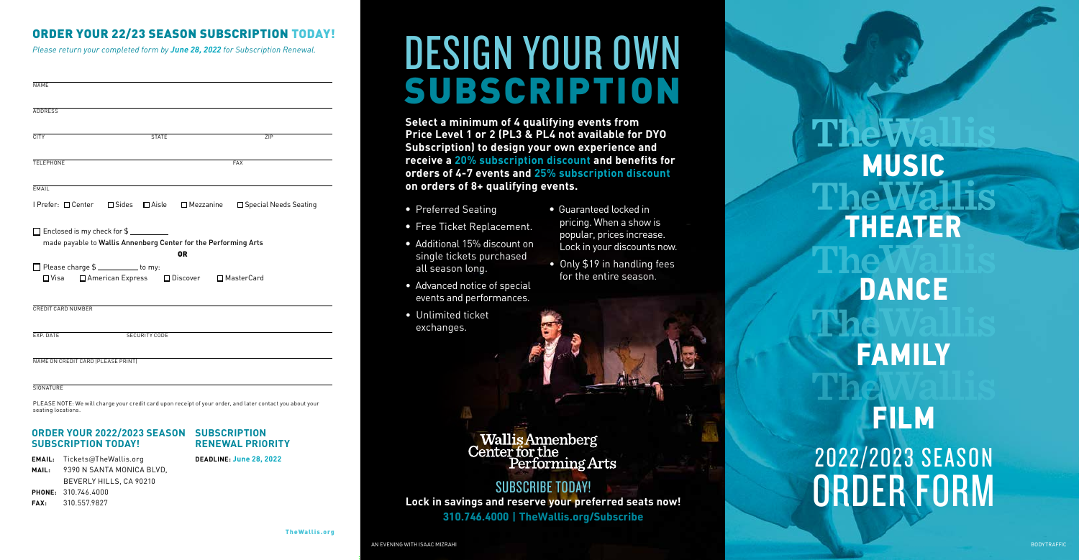- Preferred Seating
- Free Ticket Replacement.
- Additional 15% discount on single tickets purchased all season long.
- Advanced notice of special events and performances.
- Unlimited ticket exchanges.
- Guaranteed locked in pricing. When a show is popular, prices increase. Lock in your discounts now.
- Only \$19 in handling fees for the entire season.

*Please return your completed form by June 28, 2022 for Subscription Renewal.*

**DEADLINE: June 28, 2022**<br>
DEADLINE: June 28, 2022<br>
DEADLINE: June 28, 2022<br> **DEADLINE: June 28, 2022**<br> **DEADLINE: June 28, 2022**<br> **DEADLINE: June 28, 2022**<br> **DEADLINE: June 28, 2022** ORDER FORM **MUSIC FILM FAMILY DANCE THEATER**

AN EVENING WITH ISAAC MIZRAHI BODYTRAFFIC AND AND ANGLO-LOOPER AFFIC AND ANGLO-LOOPER AFFIC AND ANGLO-LOOPER AFFIC AND ANGLO-LOOPER AFFIC AND AND BODYTRAFFIC AND AND AND ANGLO-LOOPER AFFIC AND AND AND AND AND AND AND AND A

| <b>NAME</b>                        |                                                                |                                                                              |                                                                                                           |
|------------------------------------|----------------------------------------------------------------|------------------------------------------------------------------------------|-----------------------------------------------------------------------------------------------------------|
| <b>ADDRESS</b>                     |                                                                |                                                                              |                                                                                                           |
| <b>CITY</b>                        | <b>STATE</b>                                                   |                                                                              | 7IP                                                                                                       |
| <b>TELEPHONE</b>                   |                                                                |                                                                              | <b>FAX</b>                                                                                                |
| <b>FMAIL</b>                       |                                                                |                                                                              |                                                                                                           |
| I Prefer: □ Center □ Sides         |                                                                | $\Box$ Aisle $\Box$ Mezzanine                                                | □ Special Needs Seating                                                                                   |
|                                    | $\Box$ Enclosed is my check for $\$\_\_\_\_\_\_\_\_\_\_\_\_\_$ | made payable to Wallis Annenberg Center for the Performing Arts<br><b>OR</b> |                                                                                                           |
| Please charge \$                   |                                                                | □Visa □ American Express □ Discover □ MasterCard                             |                                                                                                           |
| <b>CREDIT CARD NUMBER</b>          |                                                                |                                                                              |                                                                                                           |
| EXP. DATE                          | SECURITY CODE                                                  |                                                                              |                                                                                                           |
| NAME ON CREDIT CARD (PLEASE PRINT) |                                                                |                                                                              |                                                                                                           |
| <b>SIGNATURE</b>                   |                                                                |                                                                              |                                                                                                           |
| seating locations.                 |                                                                |                                                                              | PLEASE NOTE: We will charge your credit card upon receipt of your order, and later contact you about your |

# ORDER YOUR 22/23 SEASON SUBSCRIPTION TODAY!

## **ORDER YOUR 2022/2023 SEASON SUBSCRIPTION SUBSCRIPTION TODAY!**

**EMAIL:** Tickets@TheWallis.org **MAIL:** 9390 N SANTA MONICA BLVD, BEVERLY HILLS, CA 90210 **PHONE:** 310.746.4000

## **FAX:** 310.557.9827

**RENEWAL PRIORITY**

# DESIGN YOUR OWN SUBSCRIPTION

**Select a minimum of 4 qualifying events from Price Level 1 or 2 (PL3 & PL4 not available for DYO Subscription) to design your own experience and receive a 20% subscription discount and benefits for orders of 4-7 events and 25% subscription discount on orders of 8+ qualifying events.** 

SUBSCRIBE TODAY! **Lock in savings and reserve your preferred seats now! 310.746.4000 | TheWallis.org/Subscribe**